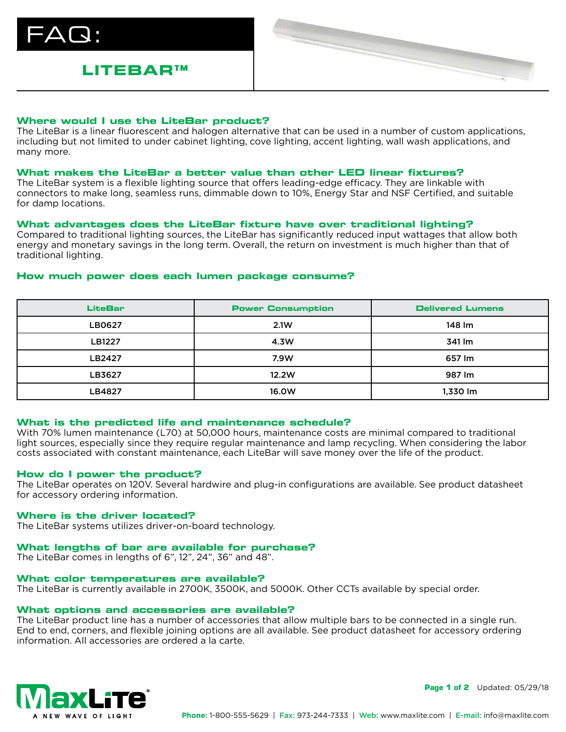$\Delta\bm{\mathsf{Q}}$  :

# **LITEBAR™**



### **Where would I use the LiteBar product?**

The LiteBar is a linear fluorescent and halogen alternative that can be used in a number of custom applications, including but not limited to under cabinet lighting, cove lighting, accent lighting, wall wash applications, and many more.

### **What makes the LiteBar a better value than other LED linear fixtures?**

The LiteBar system is a flexible lighting source that offers leading-edge efficacy. They are linkable with connectors to make long, seamless runs, dimmable down to 10%, Energy Star and NSF Certified, and suitable for damp locations.

### **What advantages does the LiteBar fixture have over traditional lighting?**

Compared to traditional lighting sources, the LiteBar has significantly reduced input wattages that allow both energy and monetary savings in the long term. Overall, the return on investment is much higher than that of traditional lighting.

### **How much power does each lumen package consume?**

| <b>LiteBar</b> | <b>Power Consumption</b> | <b>Delivered Lumens</b> |
|----------------|--------------------------|-------------------------|
| LB0627         | 2.1W                     | 148 lm                  |
| <b>LB1227</b>  | 4.3W                     | 341 lm                  |
| LB2427         | 7.9W                     | 657 lm                  |
| LB3627         | 12.2W                    | 987 lm                  |
| LB4827         | 16.0W                    | 1,330 lm                |

# **What is the predicted life and maintenance schedule?**

With 70% lumen maintenance (L70) at 50,000 hours, maintenance costs are minimal compared to traditional light sources, especially since they require regular maintenance and lamp recycling. When considering the labor costs associated with constant maintenance, each LiteBar will save money over the life of the product.

### **How do I power the product?**

The LiteBar operates on 120V. Several hardwire and plug-in configurations are available. See product datasheet for accessory ordering information.

### **Where is the driver located?**

The LiteBar systems utilizes driver-on-board technology.

# **What lengths of bar are available for purchase?**

The LiteBar comes in lengths of 6", 12", 24", 36" and 48".

### **What color temperatures are available?**

The LiteBar is currently available in 2700K, 3500K, and 5000K. Other CCTs available by special order.

### **What options and accessories are available?**

The LiteBar product line has a number of accessories that allow multiple bars to be connected in a single run. End to end, corners, and flexible joining options are all available. See product datasheet for accessory ordering information. All accessories are ordered a la carte.



**Page 1 of 2** Updated: 05/29/18